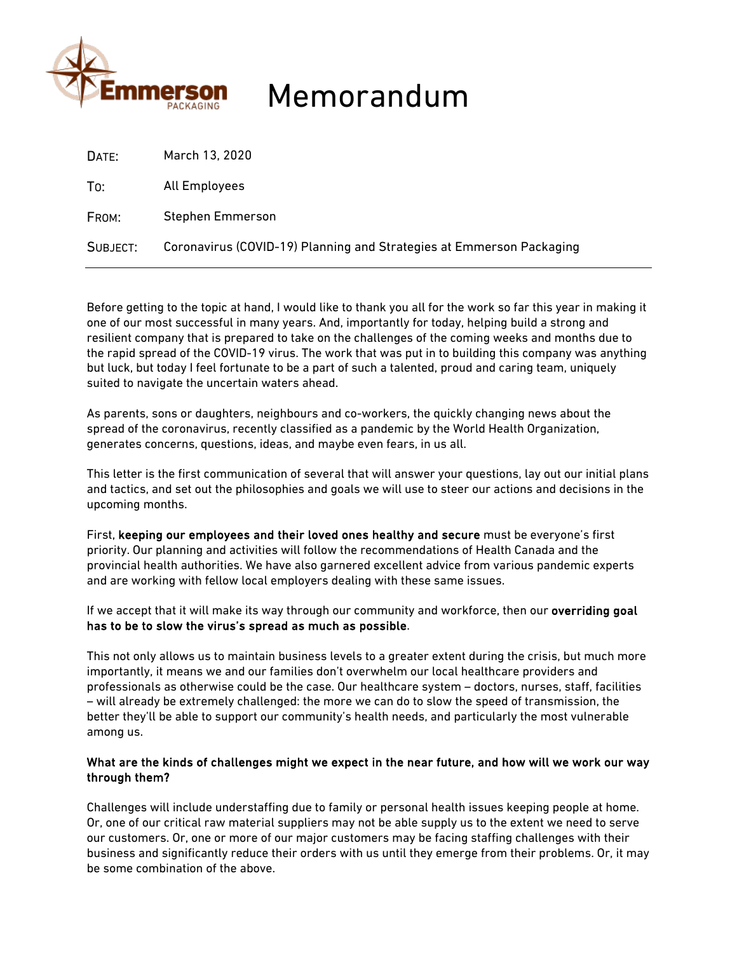

# Memorandum

| DATE:    | March 13, 2020                                                       |
|----------|----------------------------------------------------------------------|
| To:      | All Employees                                                        |
| FROM:    | <b>Stephen Emmerson</b>                                              |
| SUBJECT: | Coronavirus (COVID-19) Planning and Strategies at Emmerson Packaging |

Before getting to the topic at hand, I would like to thank you all for the work so far this year in making it one of our most successful in many years. And, importantly for today, helping build a strong and resilient company that is prepared to take on the challenges of the coming weeks and months due to the rapid spread of the COVID-19 virus. The work that was put in to building this company was anything but luck, but today I feel fortunate to be a part of such a talented, proud and caring team, uniquely suited to navigate the uncertain waters ahead.

As parents, sons or daughters, neighbours and co-workers, the quickly changing news about the spread of the coronavirus, recently classified as a pandemic by the World Health Organization, generates concerns, questions, ideas, and maybe even fears, in us all.

This letter is the first communication of several that will answer your questions, lay out our initial plans and tactics, and set out the philosophies and goals we will use to steer our actions and decisions in the upcoming months.

First, keeping our employees and their loved ones healthy and secure must be everyone's first priority. Our planning and activities will follow the recommendations of Health Canada and the provincial health authorities. We have also garnered excellent advice from various pandemic experts and are working with fellow local employers dealing with these same issues.

If we accept that it will make its way through our community and workforce, then our overriding goal has to be to slow the virus's spread as much as possible.

This not only allows us to maintain business levels to a greater extent during the crisis, but much more importantly, it means we and our families don't overwhelm our local healthcare providers and professionals as otherwise could be the case. Our healthcare system – doctors, nurses, staff, facilities – will already be extremely challenged: the more we can do to slow the speed of transmission, the better they'll be able to support our community's health needs, and particularly the most vulnerable among us.

### What are the kinds of challenges might we expect in the near future, and how will we work our way through them?

Challenges will include understaffing due to family or personal health issues keeping people at home. Or, one of our critical raw material suppliers may not be able supply us to the extent we need to serve our customers. Or, one or more of our major customers may be facing staffing challenges with their business and significantly reduce their orders with us until they emerge from their problems. Or, it may be some combination of the above.